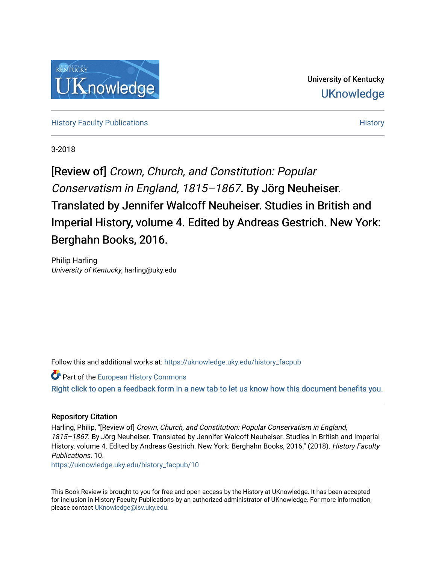

University of Kentucky **UKnowledge** 

[History Faculty Publications](https://uknowledge.uky.edu/history_facpub) **[History](https://uknowledge.uky.edu/history) Faculty Publications** History **History** History

3-2018

[Review of] Crown, Church, and Constitution: Popular Conservatism in England, 1815–1867. By Jörg Neuheiser. Translated by Jennifer Walcoff Neuheiser. Studies in British and Imperial History, volume 4. Edited by Andreas Gestrich. New York: Berghahn Books, 2016.

Philip Harling University of Kentucky, harling@uky.edu

Follow this and additional works at: [https://uknowledge.uky.edu/history\\_facpub](https://uknowledge.uky.edu/history_facpub?utm_source=uknowledge.uky.edu%2Fhistory_facpub%2F10&utm_medium=PDF&utm_campaign=PDFCoverPages)

**Part of the [European History Commons](http://network.bepress.com/hgg/discipline/492?utm_source=uknowledge.uky.edu%2Fhistory_facpub%2F10&utm_medium=PDF&utm_campaign=PDFCoverPages)** [Right click to open a feedback form in a new tab to let us know how this document benefits you.](https://uky.az1.qualtrics.com/jfe/form/SV_9mq8fx2GnONRfz7)

## Repository Citation

Harling, Philip, "[Review of] Crown, Church, and Constitution: Popular Conservatism in England, 1815–1867. By Jörg Neuheiser. Translated by Jennifer Walcoff Neuheiser. Studies in British and Imperial History, volume 4. Edited by Andreas Gestrich. New York: Berghahn Books, 2016." (2018). History Faculty Publications. 10.

[https://uknowledge.uky.edu/history\\_facpub/10](https://uknowledge.uky.edu/history_facpub/10?utm_source=uknowledge.uky.edu%2Fhistory_facpub%2F10&utm_medium=PDF&utm_campaign=PDFCoverPages) 

This Book Review is brought to you for free and open access by the History at UKnowledge. It has been accepted for inclusion in History Faculty Publications by an authorized administrator of UKnowledge. For more information, please contact [UKnowledge@lsv.uky.edu.](mailto:UKnowledge@lsv.uky.edu)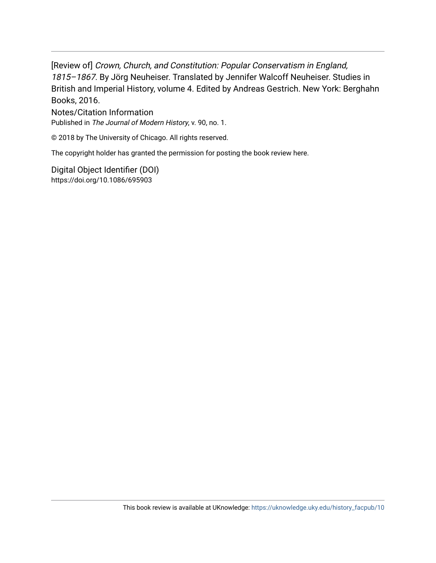[Review of] Crown, Church, and Constitution: Popular Conservatism in England, 1815–1867. By Jörg Neuheiser. Translated by Jennifer Walcoff Neuheiser. Studies in British and Imperial History, volume 4. Edited by Andreas Gestrich. New York: Berghahn Books, 2016.

Notes/Citation Information Published in The Journal of Modern History, v. 90, no. 1.

© 2018 by The University of Chicago. All rights reserved.

The copyright holder has granted the permission for posting the book review here.

Digital Object Identifier (DOI) https://doi.org/10.1086/695903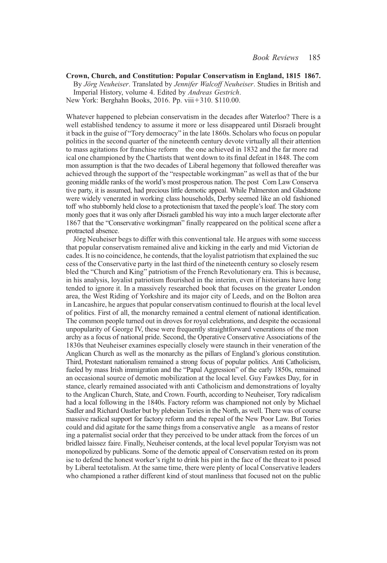Crown, Church, and Constitution: Popular Conservatism in England, 1815 1867. By Jörg Neuheiser. Translated by Jennifer Walcoff Neuheiser. Studies in British and Imperial History, volume 4. Edited by Andreas Gestrich. New York: Berghahn Books, 2016. Pp. viii+310. \$110.00.

Whatever happened to plebeian conservatism in the decades after Waterloo? There is a well established tendency to assume it more or less disappeared until Disraeli brought it back in the guise of "Tory democracy" in the late 1860s. Scholars who focus on popular politics in the second quarter of the nineteenth century devote virtually all their attention to mass agitations for franchise reform the one achieved in 1832 and the far more rad ical one championed by the Chartists that went down to its final defeat in 1848. The com mon assumption is that the two decades of Liberal hegemony that followed thereafter was achieved through the support of the "respectable workingman" as well as that of the bur geoning middle ranks of the world's most prosperous nation. The post Corn Law Conserva tive party, it is assumed, had precious little demotic appeal. While Palmerston and Gladstone were widely venerated in working class households, Derby seemed like an old fashioned toff who stubbornly held close to a protectionism that taxed the people's loaf. The story com monly goes that it was only after Disraeli gambled his way into a much larger electorate after 1867 that the "Conservative workingman" finally reappeared on the political scene after a protracted absence.

Jörg Neuheiser begs to differ with this conventional tale. He argues with some success that popular conservatism remained alive and kicking in the early and mid Victorian de cades. It is no coincidence, he contends, that the loyalist patriotism that explained the suc cess of the Conservative party in the last third of the nineteenth century so closely resem bled the "Church and King" patriotism of the French Revolutionary era. This is because, in his analysis, loyalist patriotism flourished in the interim, even if historians have long tended to ignore it. In a massively researched book that focuses on the greater London area, the West Riding of Yorkshire and its major city of Leeds, and on the Bolton area in Lancashire, he argues that popular conservatism continued to flourish at the local level of politics. First of all, the monarchy remained a central element of national identification. The common people turned out in droves for royal celebrations, and despite the occasional unpopularity of George IV, these were frequently straightforward venerations of the mon archy as a focus of national pride. Second, the Operative Conservative Associations of the 1830s that Neuheiser examines especially closely were staunch in their veneration of the Anglican Church as well as the monarchy as the pillars of England's glorious constitution. Third, Protestant nationalism remained a strong focus of popular politics. Anti Catholicism, fueled by mass Irish immigration and the "Papal Aggression" of the early 1850s, remained an occasional source of demotic mobilization at the local level. Guy Fawkes Day, for in stance, clearly remained associated with anti Catholicism and demonstrations of loyalty to the Anglican Church, State, and Crown. Fourth, according to Neuheiser, Tory radicalism had a local following in the 1840s. Factory reform was championed not only by Michael Sadler and Richard Oastler but by plebeian Tories in the North, as well. There was of course massive radical support for factory reform and the repeal of the New Poor Law. But Tories could and did agitate for the same things from a conservative angle as a means of restor ing a paternalist social order that they perceived to be under attack from the forces of un bridled laissez faire. Finally, Neuheiser contends, at the local level popular Toryism was not monopolized by publicans. Some of the demotic appeal of Conservatism rested on its prom ise to defend the honest worker's right to drink his pint in the face of the threat to it posed by Liberal teetotalism. At the same time, there were plenty of local Conservative leaders who championed a rather different kind of stout manliness that focused not on the public